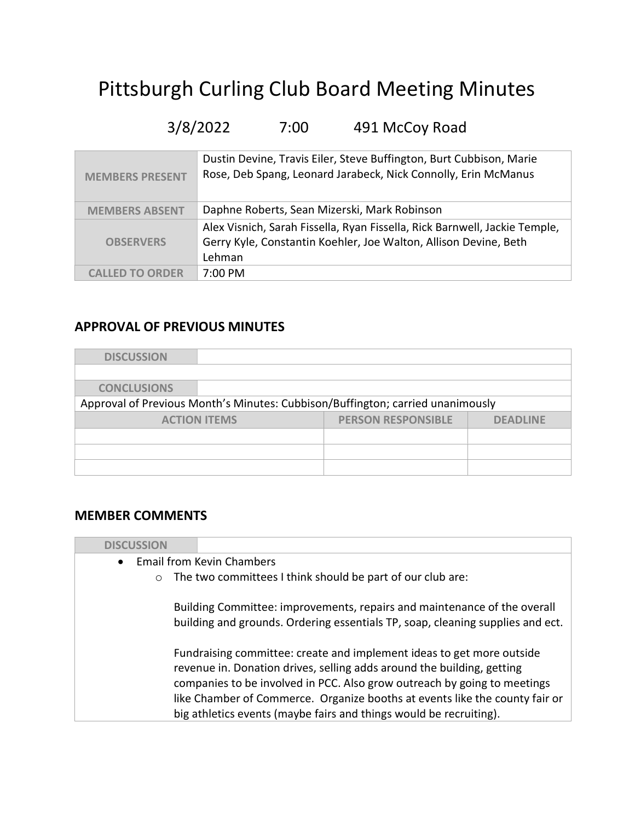# Pittsburgh Curling Club Board Meeting Minutes

## 3/8/2022 7:00 491 McCoy Road

| <b>MEMBERS PRESENT</b> | Dustin Devine, Travis Eiler, Steve Buffington, Burt Cubbison, Marie<br>Rose, Deb Spang, Leonard Jarabeck, Nick Connolly, Erin McManus                    |
|------------------------|----------------------------------------------------------------------------------------------------------------------------------------------------------|
| <b>MEMBERS ABSENT</b>  | Daphne Roberts, Sean Mizerski, Mark Robinson                                                                                                             |
| <b>OBSERVERS</b>       | Alex Visnich, Sarah Fissella, Ryan Fissella, Rick Barnwell, Jackie Temple,<br>Gerry Kyle, Constantin Koehler, Joe Walton, Allison Devine, Beth<br>Lehman |
| <b>CALLED TO ORDER</b> | $7:00 \text{ PM}$                                                                                                                                        |

#### APPROVAL OF PREVIOUS MINUTES

| <b>DISCUSSION</b>                                                              |                     |                           |                 |
|--------------------------------------------------------------------------------|---------------------|---------------------------|-----------------|
|                                                                                |                     |                           |                 |
| <b>CONCLUSIONS</b>                                                             |                     |                           |                 |
| Approval of Previous Month's Minutes: Cubbison/Buffington; carried unanimously |                     |                           |                 |
|                                                                                | <b>ACTION ITEMS</b> | <b>PERSON RESPONSIBLE</b> | <b>DEADLINE</b> |
|                                                                                |                     |                           |                 |
|                                                                                |                     |                           |                 |
|                                                                                |                     |                           |                 |

#### MEMBER COMMENTS

| <b>DISCUSSION</b> |                                                                                                                                                                                                                                                                                                                                                                                  |
|-------------------|----------------------------------------------------------------------------------------------------------------------------------------------------------------------------------------------------------------------------------------------------------------------------------------------------------------------------------------------------------------------------------|
|                   | • Email from Kevin Chambers                                                                                                                                                                                                                                                                                                                                                      |
| $\circ$           | The two committees I think should be part of our club are:                                                                                                                                                                                                                                                                                                                       |
|                   | Building Committee: improvements, repairs and maintenance of the overall<br>building and grounds. Ordering essentials TP, soap, cleaning supplies and ect.                                                                                                                                                                                                                       |
|                   | Fundraising committee: create and implement ideas to get more outside<br>revenue in. Donation drives, selling adds around the building, getting<br>companies to be involved in PCC. Also grow outreach by going to meetings<br>like Chamber of Commerce. Organize booths at events like the county fair or<br>big athletics events (maybe fairs and things would be recruiting). |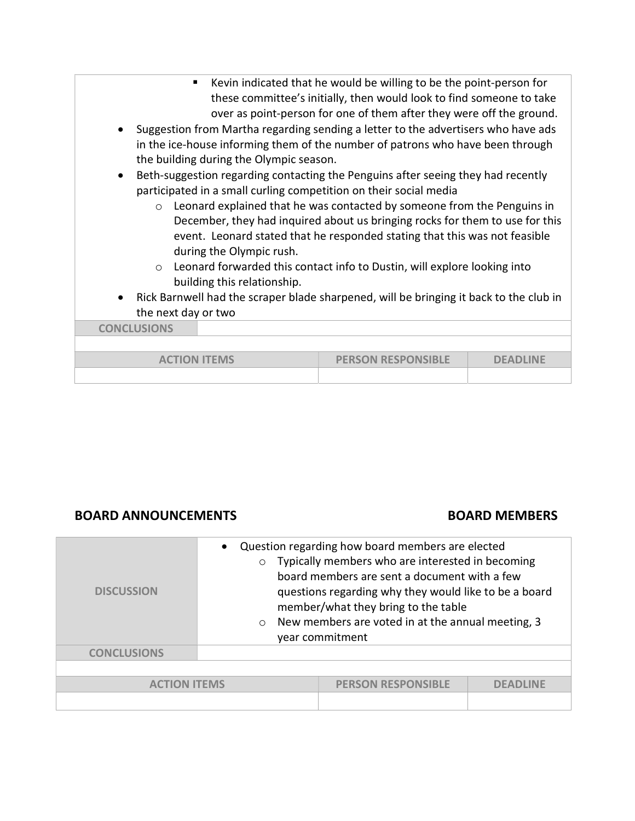| ٠<br>Suggestion from Martha regarding sending a letter to the advertisers who have ads<br>in the ice-house informing them of the number of patrons who have been through<br>the building during the Olympic season.<br>Beth-suggestion regarding contacting the Penguins after seeing they had recently<br>$\bullet$<br>participated in a small curling competition on their social media<br>$\circ$<br>during the Olympic rush.<br>$\circ$<br>building this relationship.<br>Rick Barnwell had the scraper blade sharpened, will be bringing it back to the club in<br>$\bullet$<br>the next day or two<br><b>CONCLUSIONS</b> | Kevin indicated that he would be willing to be the point-person for<br>these committee's initially, then would look to find someone to take<br>over as point-person for one of them after they were off the ground.<br>Leonard explained that he was contacted by someone from the Penguins in<br>December, they had inquired about us bringing rocks for them to use for this<br>event. Leonard stated that he responded stating that this was not feasible<br>Leonard forwarded this contact info to Dustin, will explore looking into |          |
|--------------------------------------------------------------------------------------------------------------------------------------------------------------------------------------------------------------------------------------------------------------------------------------------------------------------------------------------------------------------------------------------------------------------------------------------------------------------------------------------------------------------------------------------------------------------------------------------------------------------------------|------------------------------------------------------------------------------------------------------------------------------------------------------------------------------------------------------------------------------------------------------------------------------------------------------------------------------------------------------------------------------------------------------------------------------------------------------------------------------------------------------------------------------------------|----------|
| <b>ACTION ITEMS</b>                                                                                                                                                                                                                                                                                                                                                                                                                                                                                                                                                                                                            | <b>PERSON RESPONSIBLE</b>                                                                                                                                                                                                                                                                                                                                                                                                                                                                                                                | DFADLINF |
|                                                                                                                                                                                                                                                                                                                                                                                                                                                                                                                                                                                                                                |                                                                                                                                                                                                                                                                                                                                                                                                                                                                                                                                          |          |

#### BOARD ANNOUNCEMENTS BOARD MEMBERS

| <b>DISCUSSION</b>   | Question regarding how board members are elected<br>Typically members who are interested in becoming<br>$\circ$<br>board members are sent a document with a few<br>questions regarding why they would like to be a board<br>member/what they bring to the table<br>New members are voted in at the annual meeting, 3<br>$\circ$<br>year commitment |                           |                 |
|---------------------|----------------------------------------------------------------------------------------------------------------------------------------------------------------------------------------------------------------------------------------------------------------------------------------------------------------------------------------------------|---------------------------|-----------------|
| <b>CONCLUSIONS</b>  |                                                                                                                                                                                                                                                                                                                                                    |                           |                 |
|                     |                                                                                                                                                                                                                                                                                                                                                    |                           |                 |
| <b>ACTION ITEMS</b> |                                                                                                                                                                                                                                                                                                                                                    | <b>PERSON RESPONSIBLE</b> | <b>DFADLINF</b> |
|                     |                                                                                                                                                                                                                                                                                                                                                    |                           |                 |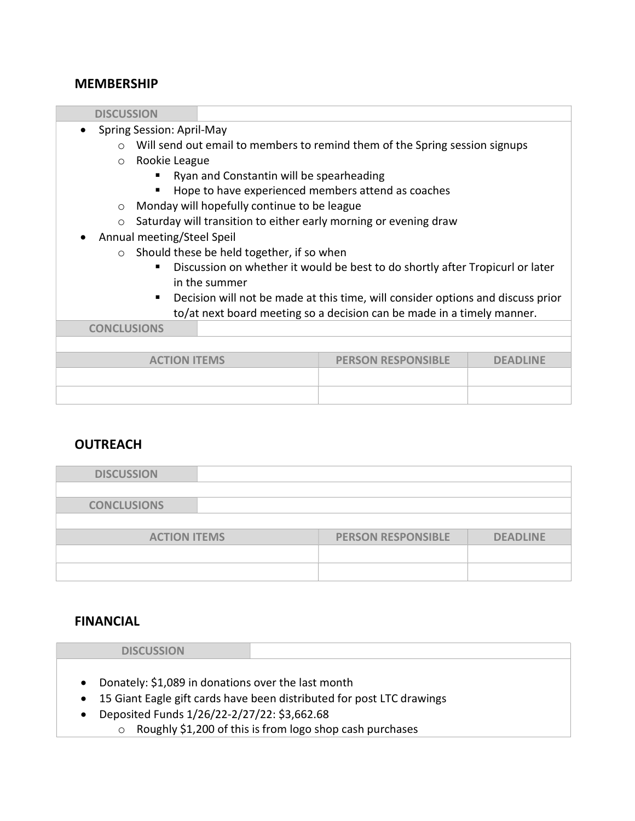#### MEMBERSHIP

| <b>DISCUSSION</b>                                                                  |                                             |                                                                             |  |
|------------------------------------------------------------------------------------|---------------------------------------------|-----------------------------------------------------------------------------|--|
| Spring Session: April-May                                                          |                                             |                                                                             |  |
| $\cap$                                                                             |                                             | Will send out email to members to remind them of the Spring session signups |  |
| Rookie League<br>$\circ$                                                           |                                             |                                                                             |  |
|                                                                                    | Ryan and Constantin will be spearheading    |                                                                             |  |
|                                                                                    |                                             | Hope to have experienced members attend as coaches                          |  |
| $\circ$                                                                            | Monday will hopefully continue to be league |                                                                             |  |
| $\circ$                                                                            |                                             | Saturday will transition to either early morning or evening draw            |  |
| Annual meeting/Steel Speil                                                         |                                             |                                                                             |  |
| Should these be held together, if so when<br>$\Omega$                              |                                             |                                                                             |  |
| Discussion on whether it would be best to do shortly after Tropicurl or later<br>▪ |                                             |                                                                             |  |
| in the summer                                                                      |                                             |                                                                             |  |
| Decision will not be made at this time, will consider options and discuss prior    |                                             |                                                                             |  |
| to/at next board meeting so a decision can be made in a timely manner.             |                                             |                                                                             |  |
| <b>CONCLUSIONS</b>                                                                 |                                             |                                                                             |  |
|                                                                                    |                                             |                                                                             |  |
| <b>PERSON RESPONSIBLE</b><br><b>ACTION ITEMS</b><br><b>DEADLINE</b>                |                                             |                                                                             |  |
|                                                                                    |                                             |                                                                             |  |
|                                                                                    |                                             |                                                                             |  |
|                                                                                    |                                             |                                                                             |  |

#### **OUTREACH**

| <b>DISCUSSION</b>   |                           |                 |
|---------------------|---------------------------|-----------------|
|                     |                           |                 |
| <b>CONCLUSIONS</b>  |                           |                 |
|                     |                           |                 |
| <b>ACTION ITEMS</b> | <b>PERSON RESPONSIBLE</b> | <b>DEADLINE</b> |
|                     |                           |                 |
|                     |                           |                 |

#### FINANCIAL

| <b>DISCUSSION</b>                                  |                                                                         |
|----------------------------------------------------|-------------------------------------------------------------------------|
|                                                    |                                                                         |
|                                                    |                                                                         |
| Donately: \$1,089 in donations over the last month |                                                                         |
|                                                    | • 15 Giant Eagle gift cards have been distributed for post LTC drawings |
| Deposited Funds 1/26/22-2/27/22: \$3,662.68        |                                                                         |
| $\circ$                                            | Roughly \$1,200 of this is from logo shop cash purchases                |
|                                                    |                                                                         |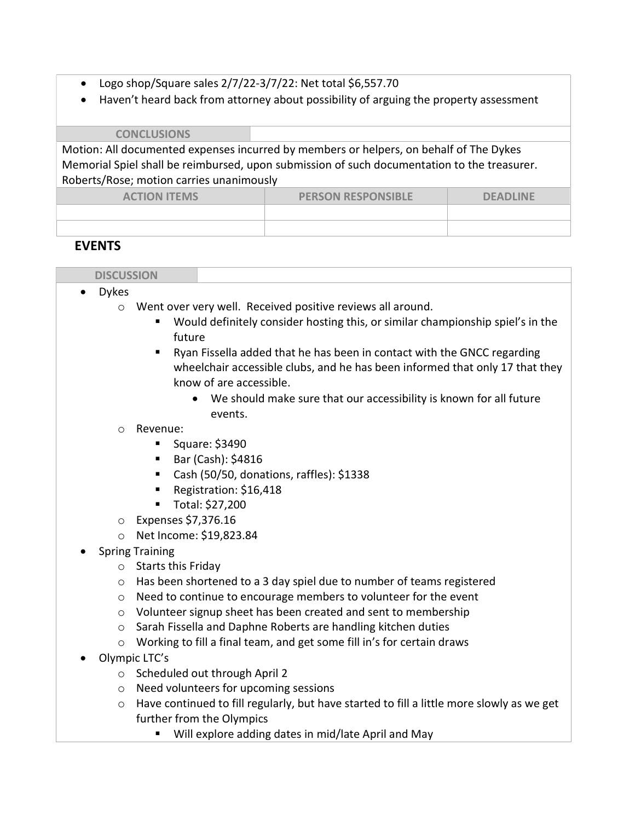- Logo shop/Square sales  $2/7/22-3/7/22$ : Net total \$6,557.70
- Haven't heard back from attorney about possibility of arguing the property assessment

**CONCLUSIONS** 

Motion: All documented expenses incurred by members or helpers, on behalf of The Dykes Memorial Spiel shall be reimbursed, upon submission of such documentation to the treasurer. Roberts/Rose; motion carries unanimously

| <b>ACTION ITEMS</b> | <b>PERSON RESPONSIBLE</b> | <b>DEADLINE</b> |
|---------------------|---------------------------|-----------------|
|                     |                           |                 |
|                     |                           |                 |

#### **EVENTS**

| <b>DICCLICCION</b><br>.<br>$\sim$ |  |
|-----------------------------------|--|

- Dykes
	- o Went over very well. Received positive reviews all around.
		- Would definitely consider hosting this, or similar championship spiel's in the future
		- Ryan Fissella added that he has been in contact with the GNCC regarding wheelchair accessible clubs, and he has been informed that only 17 that they know of are accessible.
			- We should make sure that our accessibility is known for all future events.

#### o Revenue:

- Square: \$3490
- $\blacksquare$  Bar (Cash): \$4816
- Cash (50/50, donations, raffles): \$1338
- Registration: \$16,418
- Total: \$27,200
- o Expenses \$7,376.16
- o Net Income: \$19,823.84
- Spring Training
	- o Starts this Friday
	- o Has been shortened to a 3 day spiel due to number of teams registered
	- o Need to continue to encourage members to volunteer for the event
	- o Volunteer signup sheet has been created and sent to membership
	- o Sarah Fissella and Daphne Roberts are handling kitchen duties
	- o Working to fill a final team, and get some fill in's for certain draws
- Olympic LTC's
	- o Scheduled out through April 2
	- o Need volunteers for upcoming sessions
	- $\circ$  Have continued to fill regularly, but have started to fill a little more slowly as we get further from the Olympics
		- Will explore adding dates in mid/late April and May